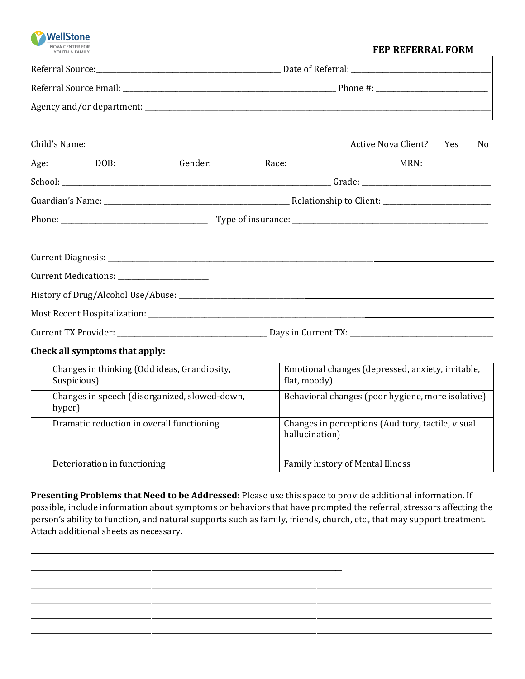| <b>WellStone</b><br>YOUTH & FAMILY                                                | <b>FEP REFERRAL FORM</b>                                            |
|-----------------------------------------------------------------------------------|---------------------------------------------------------------------|
|                                                                                   |                                                                     |
|                                                                                   |                                                                     |
|                                                                                   |                                                                     |
| Age: _____________ DOB: _________________Gender: ________________________________ | Active Nova Client? __ Yes __ No                                    |
|                                                                                   |                                                                     |
|                                                                                   |                                                                     |
|                                                                                   |                                                                     |
|                                                                                   |                                                                     |
|                                                                                   |                                                                     |
|                                                                                   |                                                                     |
| Check all symptoms that apply:                                                    |                                                                     |
| Changes in thinking (Odd ideas, Grandiosity,<br>Suspicious)                       | Emotional changes (depressed, anxiety, irritable,<br>flat, moody)   |
| Changes in speech (disorganized, slowed-down,<br>hyper)                           | Behavioral changes (poor hygiene, more isolative)                   |
| Dramatic reduction in overall functioning                                         | Changes in perceptions (Auditory, tactile, visual<br>hallucination) |

**Presenting Problems that Need to be Addressed:** Please use this space to provide additional information. If possible, include information about symptoms or behaviors that have prompted the referral, stressors affecting the person's ability to function, and natural supports such as family, friends, church, etc., that may support treatment. Attach additional sheets as necessary.

\_\_\_\_\_\_\_\_\_\_\_\_\_\_\_\_\_\_\_\_\_\_\_\_\_\_\_\_\_\_\_\_\_\_\_\_\_\_\_\_\_\_\_\_\_\_\_\_\_\_\_\_\_\_\_\_\_\_\_\_\_\_\_\_\_\_\_\_\_\_\_\_\_\_\_\_\_\_\_\_\_\_\_\_\_\_\_\_\_\_\_\_\_\_\_\_\_\_\_\_\_\_\_\_\_\_\_\_\_\_\_\_\_\_\_\_\_\_\_\_\_\_\_\_\_\_\_\_\_\_\_\_\_\_\_\_\_\_\_\_\_\_\_\_\_ \_\_\_\_\_\_\_\_\_\_\_\_\_\_\_\_\_\_\_\_\_\_\_\_\_\_\_\_\_\_\_\_\_\_\_\_\_\_\_\_\_\_\_\_\_\_\_\_\_\_\_\_\_\_\_\_\_\_\_\_\_\_\_\_\_\_\_\_\_\_\_\_\_\_\_\_\_\_\_\_\_\_\_\_\_\_\_\_\_\_\_\_\_\_\_\_\_\_\_\_\_\_\_\_\_\_\_\_\_\_\_\_\_\_\_\_\_\_\_\_\_\_\_\_\_\_\_\_\_\_\_\_\_\_\_\_\_\_\_\_\_\_\_\_\_ \_\_\_\_\_\_\_\_\_\_\_\_\_\_\_\_\_\_\_\_\_\_\_\_\_\_\_\_\_\_\_\_\_\_\_\_\_\_\_\_\_\_\_\_\_\_\_\_\_\_\_\_\_\_\_\_\_\_\_\_\_\_\_\_\_\_\_\_\_\_\_\_\_\_\_\_\_\_\_\_\_\_\_\_\_\_\_\_\_\_\_\_\_\_\_\_\_\_\_\_\_\_\_\_\_\_\_\_\_\_\_\_\_\_\_\_\_\_\_\_\_\_\_\_\_\_\_\_\_\_\_\_\_\_\_\_\_\_\_\_\_\_\_\_\_ \_\_\_\_\_\_\_\_\_\_\_\_\_\_\_\_\_\_\_\_\_\_\_\_\_\_\_\_\_\_\_\_\_\_\_\_\_\_\_\_\_\_\_\_\_\_\_\_\_\_\_\_\_\_\_\_\_\_\_\_\_\_\_\_\_\_\_\_\_\_\_\_\_\_\_\_\_\_\_\_\_\_\_\_\_\_\_\_\_\_\_\_\_\_\_\_\_\_\_\_\_\_\_\_\_\_\_\_\_\_\_\_\_\_\_\_\_\_\_\_\_\_\_\_\_\_\_\_\_\_\_\_\_\_\_\_\_\_\_\_\_\_\_\_\_

Deterioration in functioning Family history of Mental Illness

\_\_\_\_\_\_\_\_\_\_\_\_\_\_\_\_\_\_\_\_\_\_\_\_\_\_\_\_\_\_\_\_\_\_\_\_\_\_\_\_\_\_\_\_\_\_\_\_\_\_\_\_\_\_\_\_\_\_\_\_\_\_\_\_\_\_\_\_\_\_\_\_\_\_\_\_\_\_\_\_\_\_\_\_\_\_\_\_\_\_\_\_\_\_\_\_\_\_

ш.